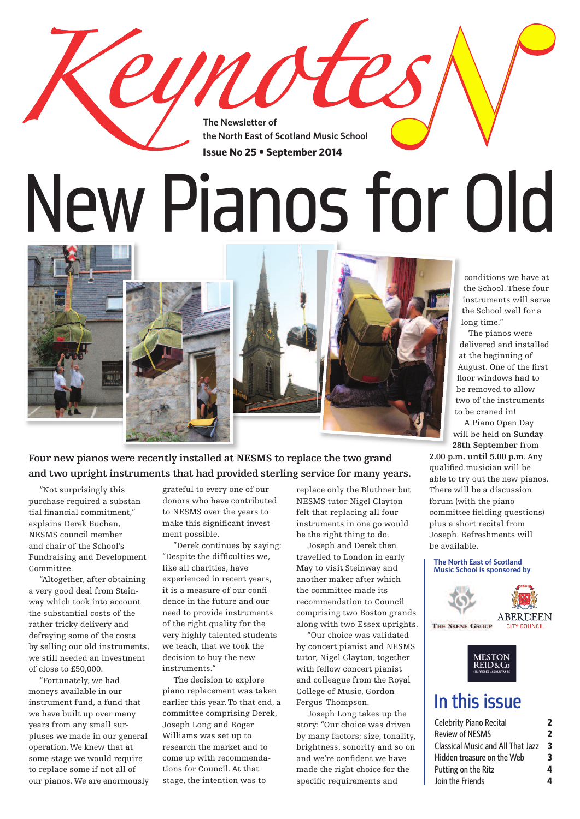**The Newsletter of the North East of Scotland Music School Issue No 25 • September 2014**

yno

# New Pianos for Old







**Four new pianos were recently installed at NESMS to replace the two grand and two upright instruments that had provided sterling service for many years.**

 "Not surprisingly this purchase required a substantial financial commitment," explains Derek Buchan, NESMS council member and chair of the School's Fundraising and Development Committee.

 "Altogether, after obtaining a very good deal from Steinway which took into account the substantial costs of the rather tricky delivery and defraying some of the costs by selling our old instruments, we still needed an investment of close to £50,000.

 "Fortunately, we had moneys available in our instrument fund, a fund that we have built up over many years from any small surpluses we made in our general operation. We knew that at some stage we would require to replace some if not all of our pianos. We are enormously grateful to every one of our donors who have contributed to NESMS over the years to make this significant investment possible.

 "Derek continues by saying: "Despite the difficulties we, like all charities, have experienced in recent years, it is a measure of our confidence in the future and our need to provide instruments of the right quality for the very highly talented students we teach, that we took the decision to buy the new instruments."

 The decision to explore piano replacement was taken earlier this year.To that end, a committee comprising Derek, Joseph Long and Roger Williams was set up to research the market and to come up with recommendations for Council. At that stage, the intention was to

replace only the Bluthner but NESMS tutor Nigel Clayton felt that replacing all four instruments in one go would be the right thing to do.

 Joseph and Derek then travelled to London in early May to visit Steinway and another maker after which the committee made its recommendation to Council comprising two Boston grands along with two Essex uprights.

 "Our choice was validated by concert pianist and NESMS tutor, Nigel Clayton, together with fellow concert pianist and colleague from the Royal College of Music, Gordon Fergus-Thompson.

 Joseph Long takes up the story: "Our choice was driven by many factors; size, tonality, brightness, sonority and so on and we're confident we have made the right choice for the specific requirements and

conditions we have at the School.These four instruments will serve the School well for a long time."

The pianos were delivered and installed at the beginning of August. One of the first floor windows had to be removed to allow two of the instruments to be craned in!

A Piano Open Day will be held on **Sunday 28th September** from

**2.00 p.m. until 5.00 p.m**. Any qualified musician will be able to try out the new pianos. There will be a discussion forum (with the piano committee fielding questions) plus a short recital from Joseph. Refreshments will be available.

#### **The North East of Scotland Music School is sponsored by**





### In this issue

| <b>Celebrity Piano Recital</b>           | 2 |
|------------------------------------------|---|
| <b>Review of NESMS</b>                   | 2 |
| <b>Classical Music and All That Jazz</b> | 3 |
| Hidden treasure on the Web               | 3 |
| Putting on the Ritz                      | 4 |
| Join the Friends                         | Δ |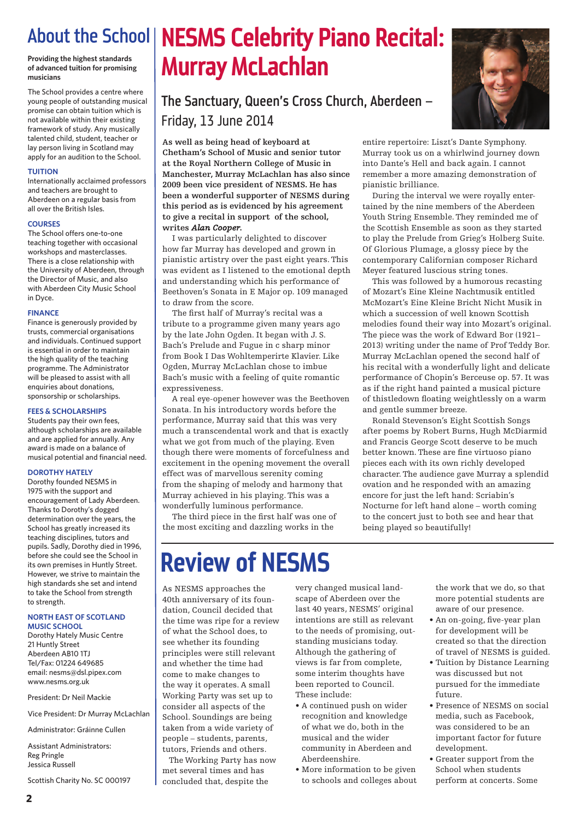**Providing the highest standards of advanced tuition for promising musicians**

The School provides a centre where young people of outstanding musical promise can obtain tuition which is not available within their existing framework of study. Any musically talented child, student, teacher or lay person living in Scotland may apply for an audition to the School.

#### **TUITION**

Internationally acclaimed professors and teachers are brought to Aberdeen on a regular basis from all over the British Isles.

#### **COURSES**

The School offers one-to-one teaching together with occasional workshops and masterclasses. There is a close relationship with the University of Aberdeen, through the Director of Music, and also with Aberdeen City Music School in Dyce.

#### **FINANCE**

Finance is generously provided by trusts, commercial organisations and individuals. Continued support is essential in order to maintain the high quality of the teaching programme. The Administrator will be pleased to assist with all enquiries about donations, sponsorship or scholarships.

### **FEES & SCHOLARSHIPS**

Students pay their own fees, although scholarships are available and are applied for annually. Any award is made on a balance of musical potential and financial need.

### **DOROTHY HATELY**

Dorothy founded NESMS in 1975 with the support and encouragement of Lady Aberdeen. Thanks to Dorothy's dogged determination over the years, the School has greatly increased its teaching disciplines, tutors and pupils. Sadly, Dorothy died in 1996, before she could see the School in its own premises in Huntly Street. However, we strive to maintain the high standards she set and intend to take the School from strength to strength.

#### **NORTH EAST OF SCOTLAND MUSIC SCHOOL**

Dorothy Hately Music Centre 21 Huntly Street Aberdeen AB10 1TJ Tel/Fax: 01224 649685 email: nesms@dsl.pipex.com www.nesms.org.uk

President: Dr Neil Mackie

Vice President: Dr Murray McLachlan

Administrator: Gráinne Cullen

Assistant Administrators: Reg Pringle Jessica Russell

Scottish Charity No. SC 000197

# About the School **NESMS Celebrity Piano Recital: Murray McLachlan**

### The Sanctuary, Queen's Cross Church, Aberdeen – Friday, 13 June 2014

**As well as being head of keyboard at Chetham's School of Music and senior tutor at the Royal Northern College of Music in Manchester, Murray McLachlan has also since 2009 been vice president of NESMS. He has been a wonderful supporter of NESMS during this period as is evidenced by his agreement to give a recital in support of the school, writes** *Alan Cooper***.**

 I was particularly delighted to discover how far Murray has developed and grown in pianistic artistry over the past eight years.This was evident as I listened to the emotional depth and understanding which his performance of Beethoven's Sonata in E Major op. 109 managed to draw from the score.

 The first half of Murray's recital was a tribute to a programme given many years ago by the late John Ogden. It began with J. S. Bach's Prelude and Fugue in c sharp minor from Book I Das Wohltemperirte Klavier. Like Ogden, Murray McLachlan chose to imbue Bach's music with a feeling of quite romantic expressiveness.

 A real eye-opener however was the Beethoven Sonata. In his introductory words before the performance, Murray said that this was very much a transcendental work and that is exactly what we got from much of the playing. Even though there were moments of forcefulness and excitement in the opening movement the overall effect was of marvellous serenity coming from the shaping of melody and harmony that Murray achieved in his playing.This was a wonderfully luminous performance.

 The third piece in the first half was one of the most exciting and dazzling works in the

entire repertoire: Liszt's Dante Symphony. Murray took us on a whirlwind journey down into Dante's Hell and back again. I cannot remember a more amazing demonstration of pianistic brilliance.

 During the interval we were royally entertained by the nine members of the Aberdeen Youth String Ensemble.They reminded me of the Scottish Ensemble as soon as they started to play the Prelude from Grieg's Holberg Suite. Of Glorious Plumage, a glossy piece by the contemporary Californian composer Richard Meyer featured luscious string tones.

 This was followed by a humorous recasting of Mozart's Eine Kleine Nachtmusik entitled McMozart's Eine Kleine Bricht Nicht Musik in which a succession of well known Scottish melodies found their way into Mozart's original. The piece was the work of Edward Bor (1921– 2013) writing under the name of Prof Teddy Bor. Murray McLachlan opened the second half of his recital with a wonderfully light and delicate performance of Chopin's Berceuse op. 57. It was as if the right hand painted a musical picture of thistledown floating weightlessly on a warm and gentle summer breeze.

 Ronald Stevenson's Eight Scottish Songs after poems by Robert Burns, Hugh McDiarmid and Francis George Scott deserve to be much better known.These are fine virtuoso piano pieces each with its own richly developed character.The audience gave Murray a splendid ovation and he responded with an amazing encore for just the left hand: Scriabin's Nocturne for left hand alone – worth coming to the concert just to both see and hear that being played so beautifully!

# **Review of NESMS**

As NESMS approaches the 40th anniversary of its foundation, Council decided that the time was ripe for a review of what the School does, to see whether its founding principles were still relevant and whether the time had come to make changes to the way it operates. A small Working Party was set up to consider all aspects of the School. Soundings are being taken from a wide variety of people – students, parents, tutors, Friends and others.

The Working Party has now met several times and has concluded that, despite the

very changed musical landscape of Aberdeen over the last 40 years, NESMS' original intentions are still as relevant to the needs of promising, outstanding musicians today. Although the gathering of views is far from complete, some interim thoughts have been reported to Council. These include:

- A continued push on wider recognition and knowledge of what we do, both in the musical and the wider community in Aberdeen and Aberdeenshire.
- More information to be given to schools and colleges about

the work that we do, so that more potential students are aware of our presence.

- An on-going, five-year plan for development will be created so that the direction of travel of NESMS is guided.
- Tuition by Distance Learning was discussed but not pursued for the immediate future.
- Presence of NESMS on social media, such as Facebook, was considered to be an important factor for future development.
- Greater support from the School when students perform at concerts. Some

**2**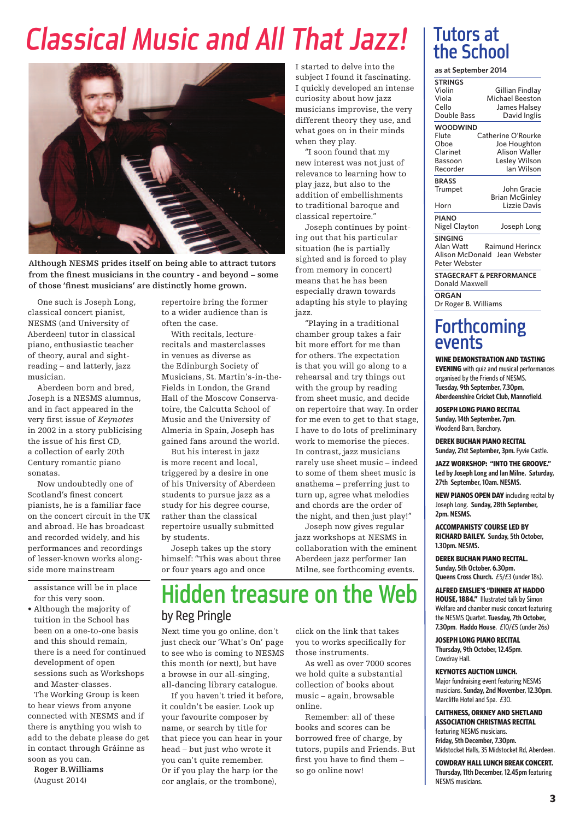# *Classical Music and All That Jazz!*



**Although NESMS prides itself on being able to attract tutors from the finest musicians in the country - and beyond – some of those 'finest musicians' are distinctly home grown.**

 One such is Joseph Long, classical concert pianist, NESMS (and University of Aberdeen) tutor in classical piano, enthusiastic teacher of theory, aural and sightreading – and latterly, jazz musician.

 Aberdeen born and bred, Joseph is a NESMS alumnus, and in fact appeared in the very first issue of *Keynotes* in 2002 in a story publicising the issue of his first CD, a collection of early 20th Century romantic piano sonatas.

 Now undoubtedly one of Scotland's finest concert pianists, he is a familiar face on the concert circuit in the UK and abroad. He has broadcast and recorded widely, and his performances and recordings of lesser-known works alongside more mainstream

assistance will be in place for this very soon.

• Although the majority of tuition in the School has been on a one-to-one basis and this should remain, there is a need for continued development of open sessions such as Workshops and Master-classes.

The Working Group is keen to hear views from anyone connected with NESMS and if there is anything you wish to add to the debate please do get in contact through Gráinne as soon as you can.

**Roger B.Williams** (August 2014)

repertoire bring the former to a wider audience than is often the case.

 With recitals, lecturerecitals and masterclasses in venues as diverse as the Edinburgh Society of Musicians, St. Martin's-in-the-Fields in London, the Grand Hall of the Moscow Conservatoire, the Calcutta School of Music and the University of Almeria in Spain, Joseph has gained fans around the world.

 But his interest in jazz is more recent and local, triggered by a desire in one of his University of Aberdeen students to pursue jazz as a study for his degree course, rather than the classical repertoire usually submitted by students.

 Joseph takes up the story himself: "This was about three or four years ago and once

I started to delve into the subject I found it fascinating. I quickly developed an intense curiosity about how jazz musicians improvise, the very different theory they use, and what goes on in their minds when they play.

 "I soon found that my new interest was not just of relevance to learning how to play jazz, but also to the addition of embellishments to traditional baroque and classical repertoire."

 Joseph continues by pointing out that his particular situation (he is partially sighted and is forced to play from memory in concert) means that he has been especially drawn towards adapting his style to playing jazz.

 "Playing in a traditional chamber group takes a fair bit more effort for me than for others.The expectation is that you will go along to a rehearsal and try things out with the group by reading from sheet music, and decide on repertoire that way. In order for me even to get to that stage, I have to do lots of preliminary work to memorise the pieces. In contrast, jazz musicians rarely use sheet music – indeed to some of them sheet music is anathema – preferring just to turn up, agree what melodies and chords are the order of the night, and then just play!"

 Joseph now gives regular jazz workshops at NESMS in collaboration with the eminent Aberdeen jazz performer Ian Milne, see forthcoming events.

### Hidden treasure on the Web by Reg Pringle

Next time you go online, don't just check our 'What's On' page to see who is coming to NESMS this month (or next), but have a browse in our all-singing, all-dancing library catalogue.

 If you haven't tried it before, it couldn't be easier. Look up your favourite composer by name, or search by title for that piece you can hear in your head – but just who wrote it you can't quite remember. Or if you play the harp (or the cor anglais, or the trombone),

click on the link that takes you to works specifically for those instruments.

 As well as over 7000 scores we hold quite a substantial collection of books about music – again, browsable online.

 Remember: all of these books and scores can be borrowed free of charge, by tutors, pupils and Friends. But first you have to find them – so go online now!

### Tutors at the School

**as at September 2014**

| <b>STRINGS</b>       |                                     |
|----------------------|-------------------------------------|
|                      |                                     |
| Violin               | Gillian Findlay                     |
| Viola                | Michael Beeston                     |
| Cello                | James Halsey                        |
| Double Bass          | David Inglis                        |
| <b>WOODWIND</b>      |                                     |
| Flute                | Catherine O'Rourke                  |
| Oboe                 | Joe Houghton                        |
| Clarinet             | <b>Alison Waller</b>                |
| Bassoon              | Lesley Wilson                       |
| Recorder             | lan Wilson                          |
| <b>BRASS</b>         |                                     |
| Trumpet              | John Gracie                         |
|                      | <b>Brian McGinley</b>               |
| Horn                 | Lizzie Davis                        |
| <b>PIANO</b>         |                                     |
| Nigel Clayton        | Joseph Long                         |
| <b>SINGING</b>       |                                     |
| Alan Watt            | Raimund Herincx                     |
|                      | Alison McDonald Jean Webster        |
| Peter Webster        |                                     |
|                      | <b>STAGECRAFT &amp; PERFORMANCE</b> |
| Donald Maxwell       |                                     |
| <b>ORGAN</b>         |                                     |
| Dr Roger B. Williams |                                     |

### **Forthcoming** events

**WINE DEMONSTRATION AND TASTING EVENING** with quiz and musical performances organised by the Friends of NESMS.

**Tuesday, 9th September, 7.30pm, Aberdeenshire Cricket Club, Mannofield**.

**JOSEPH LONG PIANO RECITAL Sunday, 14th September, 7pm**. Woodend Barn, Banchory.

**DEREK BUCHAN PIANO RECITAL Sunday, 21st September, 3pm.** Fyvie Castle.

**JAZZ WORKSHOP: "INTO THE GROOVE." Led by Joseph Long and Ian Milne. Saturday, 27th September, 10am. NESMS.**

**NEW PIANOS OPEN DAY** including recital by Joseph Long. **Sunday, 28th September, 2pm. NESMS.**

**ACCOMPANISTS' COURSE LED BY RICHARD BAILEY. Sunday, 5th October, 1.30pm. NESMS.**

**DEREK BUCHAN PIANO RECITAL. Sunday, 5th October, 6.30pm. Queens Cross Church.** £5/£3(under 18s).

**ALFRED EMSLIE'S "DINNER AT HADDO HOUSE, 1884."** Illustrated talk by Simon Welfare and chamber music concert featuring the NESMS Quartet. **Tuesday, 7th October, 7.30pm**. **Haddo House**. £10/£5(under26s)

**JOSEPH LONG PIANO RECITAL Thursday, 9th October, 12.45pm**. Cowdray Hall.

### **KEYNOTES AUCTION LUNCH.**

Major fundraising event featuring NESMS musicians. **Sunday, 2nd November, 12.30pm**. Marcliffe Hotel and Spa. £30.

**CAITHNESS, ORKNEY AND SHETLAND ASSOCIATION CHRISTMAS RECITAL** featuring NESMS musicians. **Friday, 5th December, 7.30pm.** Midstocket Halls,35 Midstocket Rd, Aberdeen.

**COWDRAY HALLLUNCH BREAK CONCERT.**

**Thursday, 11th December, 12.45pm** featuring NESMS musicians.